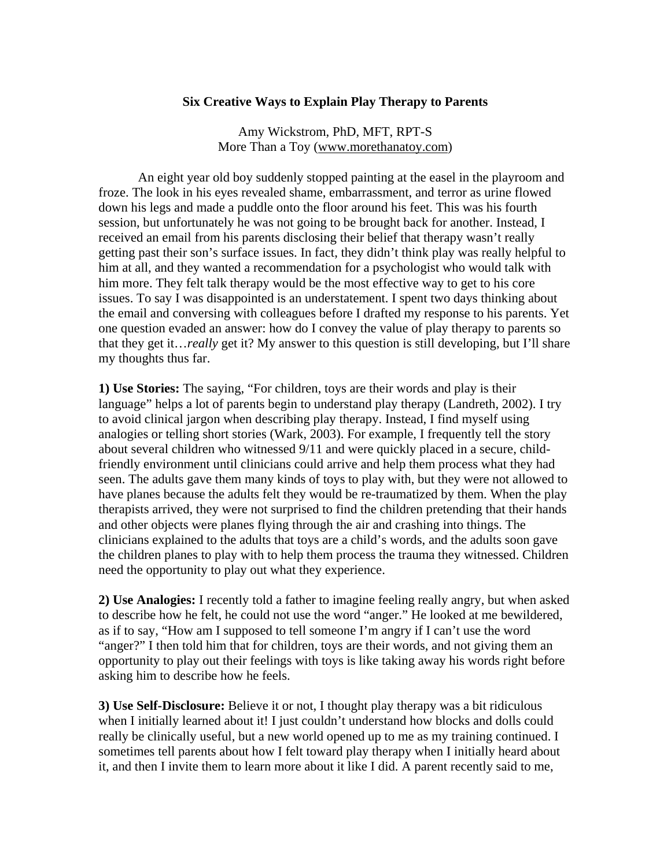## **Six Creative Ways to Explain Play Therapy to Parents**

Amy Wickstrom, PhD, MFT, RPT-S More Than a Toy (www.morethanatoy.com)

An eight year old boy suddenly stopped painting at the easel in the playroom and froze. The look in his eyes revealed shame, embarrassment, and terror as urine flowed down his legs and made a puddle onto the floor around his feet. This was his fourth session, but unfortunately he was not going to be brought back for another. Instead, I received an email from his parents disclosing their belief that therapy wasn't really getting past their son's surface issues. In fact, they didn't think play was really helpful to him at all, and they wanted a recommendation for a psychologist who would talk with him more. They felt talk therapy would be the most effective way to get to his core issues. To say I was disappointed is an understatement. I spent two days thinking about the email and conversing with colleagues before I drafted my response to his parents. Yet one question evaded an answer: how do I convey the value of play therapy to parents so that they get it…*really* get it? My answer to this question is still developing, but I'll share my thoughts thus far.

**1) Use Stories:** The saying, "For children, toys are their words and play is their language" helps a lot of parents begin to understand play therapy (Landreth, 2002). I try to avoid clinical jargon when describing play therapy. Instead, I find myself using analogies or telling short stories (Wark, 2003). For example, I frequently tell the story about several children who witnessed 9/11 and were quickly placed in a secure, childfriendly environment until clinicians could arrive and help them process what they had seen. The adults gave them many kinds of toys to play with, but they were not allowed to have planes because the adults felt they would be re-traumatized by them. When the play therapists arrived, they were not surprised to find the children pretending that their hands and other objects were planes flying through the air and crashing into things. The clinicians explained to the adults that toys are a child's words, and the adults soon gave the children planes to play with to help them process the trauma they witnessed. Children need the opportunity to play out what they experience.

**2) Use Analogies:** I recently told a father to imagine feeling really angry, but when asked to describe how he felt, he could not use the word "anger." He looked at me bewildered, as if to say, "How am I supposed to tell someone I'm angry if I can't use the word "anger?" I then told him that for children, toys are their words, and not giving them an opportunity to play out their feelings with toys is like taking away his words right before asking him to describe how he feels.

**3) Use Self-Disclosure:** Believe it or not, I thought play therapy was a bit ridiculous when I initially learned about it! I just couldn't understand how blocks and dolls could really be clinically useful, but a new world opened up to me as my training continued. I sometimes tell parents about how I felt toward play therapy when I initially heard about it, and then I invite them to learn more about it like I did. A parent recently said to me,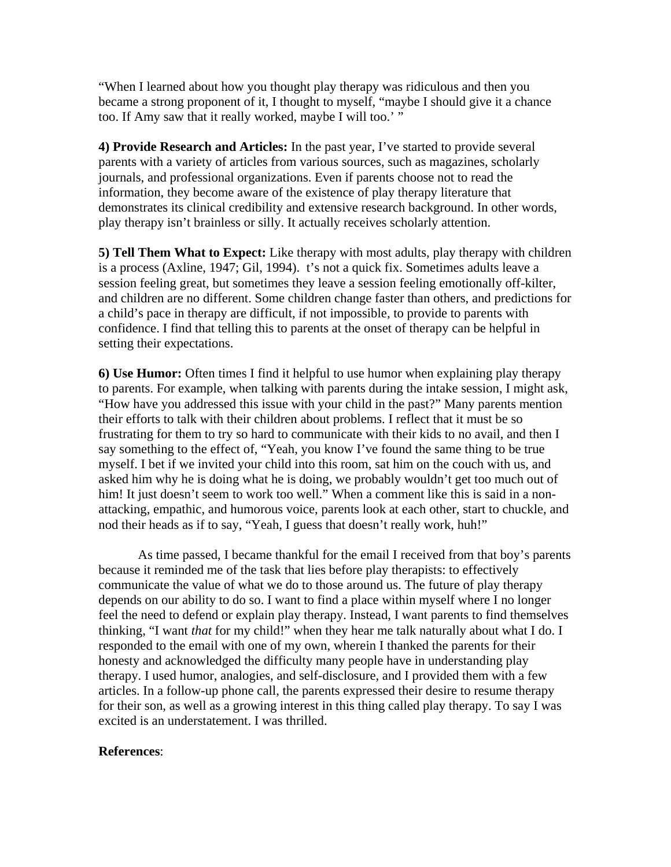"When I learned about how you thought play therapy was ridiculous and then you became a strong proponent of it, I thought to myself, "maybe I should give it a chance too. If Amy saw that it really worked, maybe I will too.' "

**4) Provide Research and Articles:** In the past year, I've started to provide several parents with a variety of articles from various sources, such as magazines, scholarly journals, and professional organizations. Even if parents choose not to read the information, they become aware of the existence of play therapy literature that demonstrates its clinical credibility and extensive research background. In other words, play therapy isn't brainless or silly. It actually receives scholarly attention.

**5) Tell Them What to Expect:** Like therapy with most adults, play therapy with children is a process (Axline, 1947; Gil, 1994). t's not a quick fix. Sometimes adults leave a session feeling great, but sometimes they leave a session feeling emotionally off-kilter, and children are no different. Some children change faster than others, and predictions for a child's pace in therapy are difficult, if not impossible, to provide to parents with confidence. I find that telling this to parents at the onset of therapy can be helpful in setting their expectations.

**6) Use Humor:** Often times I find it helpful to use humor when explaining play therapy to parents. For example, when talking with parents during the intake session, I might ask, "How have you addressed this issue with your child in the past?" Many parents mention their efforts to talk with their children about problems. I reflect that it must be so frustrating for them to try so hard to communicate with their kids to no avail, and then I say something to the effect of, "Yeah, you know I've found the same thing to be true myself. I bet if we invited your child into this room, sat him on the couch with us, and asked him why he is doing what he is doing, we probably wouldn't get too much out of him! It just doesn't seem to work too well." When a comment like this is said in a nonattacking, empathic, and humorous voice, parents look at each other, start to chuckle, and nod their heads as if to say, "Yeah, I guess that doesn't really work, huh!"

 As time passed, I became thankful for the email I received from that boy's parents because it reminded me of the task that lies before play therapists: to effectively communicate the value of what we do to those around us. The future of play therapy depends on our ability to do so. I want to find a place within myself where I no longer feel the need to defend or explain play therapy. Instead, I want parents to find themselves thinking, "I want *that* for my child!" when they hear me talk naturally about what I do. I responded to the email with one of my own, wherein I thanked the parents for their honesty and acknowledged the difficulty many people have in understanding play therapy. I used humor, analogies, and self-disclosure, and I provided them with a few articles. In a follow-up phone call, the parents expressed their desire to resume therapy for their son, as well as a growing interest in this thing called play therapy. To say I was excited is an understatement. I was thrilled.

## **References**: